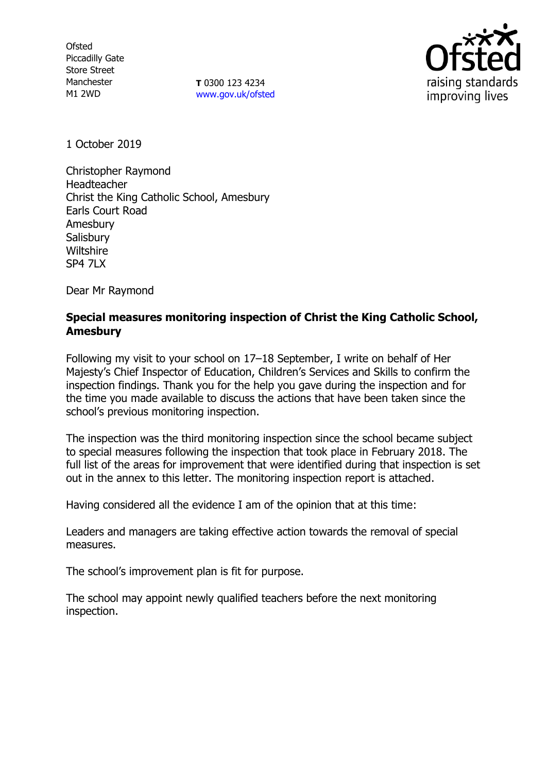**Ofsted** Piccadilly Gate Store Street Manchester M1 2WD

**T** 0300 123 4234 [www.gov.uk/ofsted](http://www.gov.uk/ofsted)



1 October 2019

Christopher Raymond Headteacher Christ the King Catholic School, Amesbury Earls Court Road Amesbury **Salisbury Wiltshire** SP4 7LX

Dear Mr Raymond

## **Special measures monitoring inspection of Christ the King Catholic School, Amesbury**

Following my visit to your school on 17–18 September, I write on behalf of Her Majesty's Chief Inspector of Education, Children's Services and Skills to confirm the inspection findings. Thank you for the help you gave during the inspection and for the time you made available to discuss the actions that have been taken since the school's previous monitoring inspection.

The inspection was the third monitoring inspection since the school became subject to special measures following the inspection that took place in February 2018. The full list of the areas for improvement that were identified during that inspection is set out in the annex to this letter. The monitoring inspection report is attached.

Having considered all the evidence I am of the opinion that at this time:

Leaders and managers are taking effective action towards the removal of special measures.

The school's improvement plan is fit for purpose.

The school may appoint newly qualified teachers before the next monitoring inspection.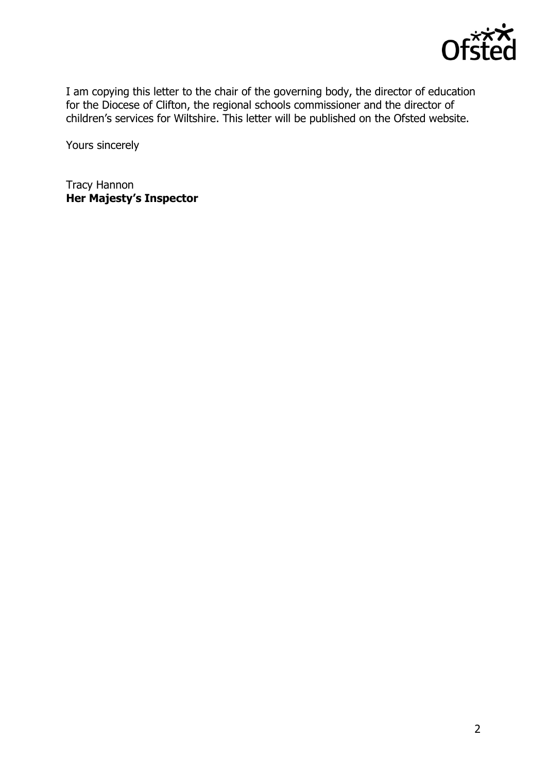

I am copying this letter to the chair of the governing body, the director of education for the Diocese of Clifton, the regional schools commissioner and the director of children's services for Wiltshire. This letter will be published on the Ofsted website.

Yours sincerely

Tracy Hannon **Her Majesty's Inspector**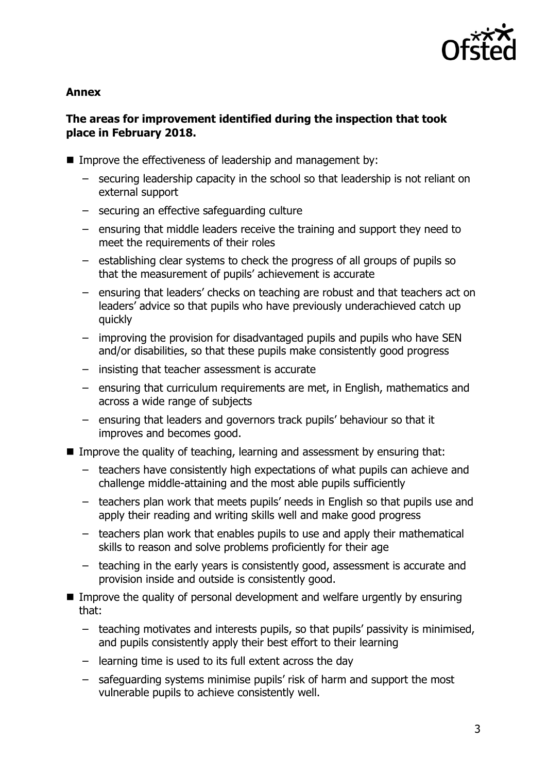

### **Annex**

# **The areas for improvement identified during the inspection that took place in February 2018.**

- Improve the effectiveness of leadership and management by:
	- securing leadership capacity in the school so that leadership is not reliant on external support
	- securing an effective safeguarding culture
	- ensuring that middle leaders receive the training and support they need to meet the requirements of their roles
	- establishing clear systems to check the progress of all groups of pupils so that the measurement of pupils' achievement is accurate
	- ensuring that leaders' checks on teaching are robust and that teachers act on leaders' advice so that pupils who have previously underachieved catch up quickly
	- improving the provision for disadvantaged pupils and pupils who have SEN and/or disabilities, so that these pupils make consistently good progress
	- insisting that teacher assessment is accurate
	- ensuring that curriculum requirements are met, in English, mathematics and across a wide range of subjects
	- ensuring that leaders and governors track pupils' behaviour so that it improves and becomes good.
- Improve the quality of teaching, learning and assessment by ensuring that:
	- teachers have consistently high expectations of what pupils can achieve and challenge middle-attaining and the most able pupils sufficiently
	- teachers plan work that meets pupils' needs in English so that pupils use and apply their reading and writing skills well and make good progress
	- teachers plan work that enables pupils to use and apply their mathematical skills to reason and solve problems proficiently for their age
	- teaching in the early years is consistently good, assessment is accurate and provision inside and outside is consistently good.
- Improve the quality of personal development and welfare urgently by ensuring that:
	- teaching motivates and interests pupils, so that pupils' passivity is minimised, and pupils consistently apply their best effort to their learning
	- learning time is used to its full extent across the day
	- safeguarding systems minimise pupils' risk of harm and support the most vulnerable pupils to achieve consistently well.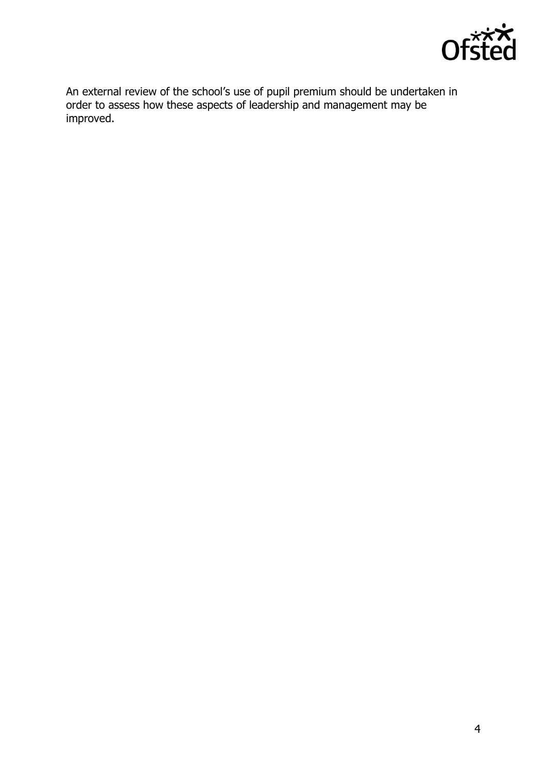

An external review of the school's use of pupil premium should be undertaken in order to assess how these aspects of leadership and management may be improved.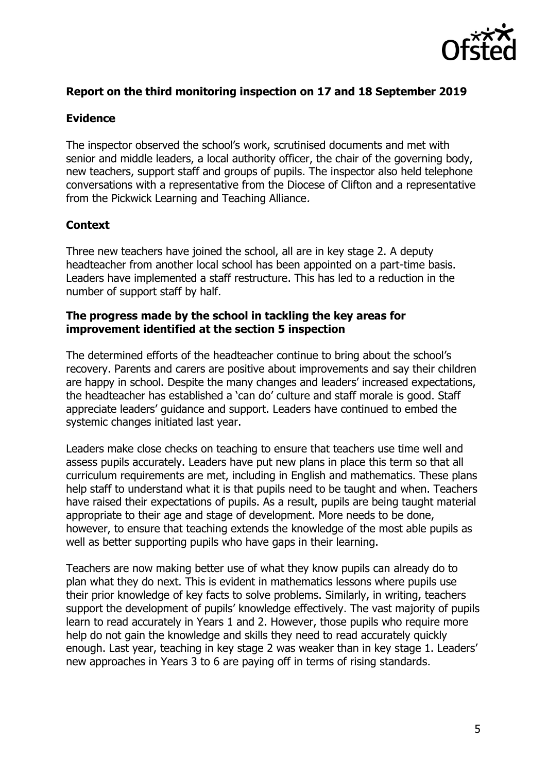

## **Report on the third monitoring inspection on 17 and 18 September 2019**

### **Evidence**

The inspector observed the school's work, scrutinised documents and met with senior and middle leaders, a local authority officer, the chair of the governing body, new teachers, support staff and groups of pupils. The inspector also held telephone conversations with a representative from the Diocese of Clifton and a representative from the Pickwick Learning and Teaching Alliance.

# **Context**

Three new teachers have joined the school, all are in key stage 2. A deputy headteacher from another local school has been appointed on a part-time basis. Leaders have implemented a staff restructure. This has led to a reduction in the number of support staff by half.

### **The progress made by the school in tackling the key areas for improvement identified at the section 5 inspection**

The determined efforts of the headteacher continue to bring about the school's recovery. Parents and carers are positive about improvements and say their children are happy in school. Despite the many changes and leaders' increased expectations, the headteacher has established a 'can do' culture and staff morale is good. Staff appreciate leaders' guidance and support. Leaders have continued to embed the systemic changes initiated last year.

Leaders make close checks on teaching to ensure that teachers use time well and assess pupils accurately. Leaders have put new plans in place this term so that all curriculum requirements are met, including in English and mathematics. These plans help staff to understand what it is that pupils need to be taught and when. Teachers have raised their expectations of pupils. As a result, pupils are being taught material appropriate to their age and stage of development. More needs to be done, however, to ensure that teaching extends the knowledge of the most able pupils as well as better supporting pupils who have gaps in their learning.

Teachers are now making better use of what they know pupils can already do to plan what they do next. This is evident in mathematics lessons where pupils use their prior knowledge of key facts to solve problems. Similarly, in writing, teachers support the development of pupils' knowledge effectively. The vast majority of pupils learn to read accurately in Years 1 and 2. However, those pupils who require more help do not gain the knowledge and skills they need to read accurately quickly enough. Last year, teaching in key stage 2 was weaker than in key stage 1. Leaders' new approaches in Years 3 to 6 are paying off in terms of rising standards.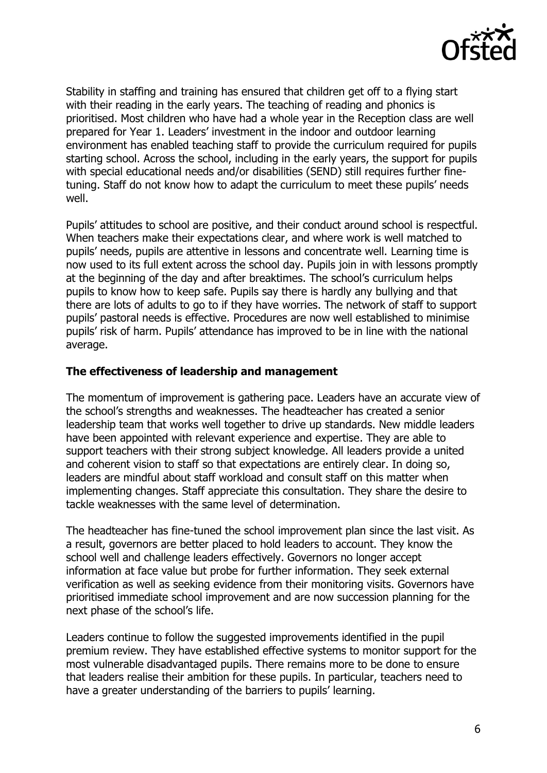

Stability in staffing and training has ensured that children get off to a flying start with their reading in the early years. The teaching of reading and phonics is prioritised. Most children who have had a whole year in the Reception class are well prepared for Year 1. Leaders' investment in the indoor and outdoor learning environment has enabled teaching staff to provide the curriculum required for pupils starting school. Across the school, including in the early years, the support for pupils with special educational needs and/or disabilities (SEND) still requires further finetuning. Staff do not know how to adapt the curriculum to meet these pupils' needs well.

Pupils' attitudes to school are positive, and their conduct around school is respectful. When teachers make their expectations clear, and where work is well matched to pupils' needs, pupils are attentive in lessons and concentrate well. Learning time is now used to its full extent across the school day. Pupils join in with lessons promptly at the beginning of the day and after breaktimes. The school's curriculum helps pupils to know how to keep safe. Pupils say there is hardly any bullying and that there are lots of adults to go to if they have worries. The network of staff to support pupils' pastoral needs is effective. Procedures are now well established to minimise pupils' risk of harm. Pupils' attendance has improved to be in line with the national average.

### **The effectiveness of leadership and management**

The momentum of improvement is gathering pace. Leaders have an accurate view of the school's strengths and weaknesses. The headteacher has created a senior leadership team that works well together to drive up standards. New middle leaders have been appointed with relevant experience and expertise. They are able to support teachers with their strong subject knowledge. All leaders provide a united and coherent vision to staff so that expectations are entirely clear. In doing so, leaders are mindful about staff workload and consult staff on this matter when implementing changes. Staff appreciate this consultation. They share the desire to tackle weaknesses with the same level of determination.

The headteacher has fine-tuned the school improvement plan since the last visit. As a result, governors are better placed to hold leaders to account. They know the school well and challenge leaders effectively. Governors no longer accept information at face value but probe for further information. They seek external verification as well as seeking evidence from their monitoring visits. Governors have prioritised immediate school improvement and are now succession planning for the next phase of the school's life.

Leaders continue to follow the suggested improvements identified in the pupil premium review. They have established effective systems to monitor support for the most vulnerable disadvantaged pupils. There remains more to be done to ensure that leaders realise their ambition for these pupils. In particular, teachers need to have a greater understanding of the barriers to pupils' learning.